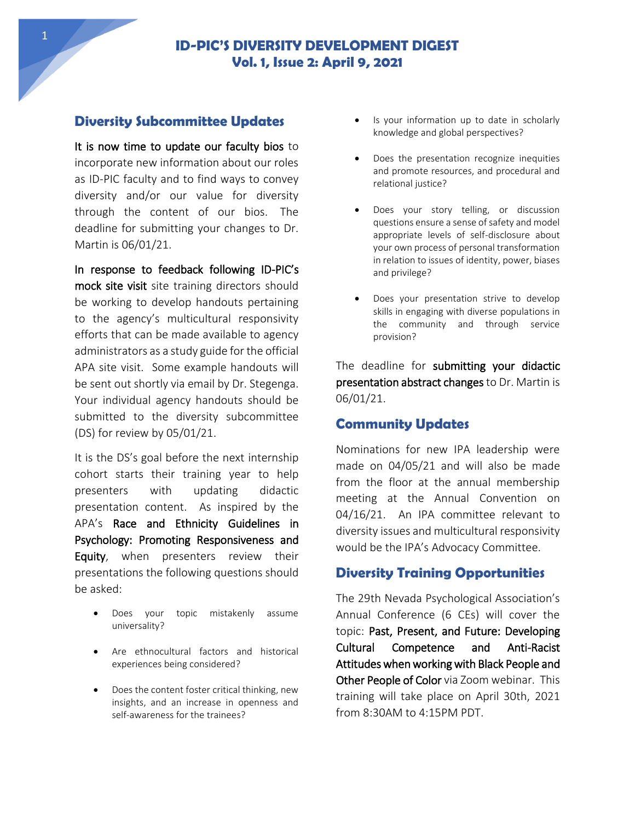# **ID-PIC'S DIVERSITY DEVELOPMENT DIGEST Vol. 1, Issue 2: April 9, 2021**

## **Diversity Subcommittee Updates**

It is now time to update our faculty bios to incorporate new information about our roles as ID-PIC faculty and to find ways to convey diversity and/or our value for diversity through the content of our bios. The deadline for submitting your changes to Dr. Martin is 06/01/21.

In response to feedback following ID-PIC's mock site visit site training directors should be working to develop handouts pertaining to the agency's multicultural responsivity efforts that can be made available to agency administrators as a study guide for the official APA site visit. Some example handouts will be sent out shortly via email by Dr. Stegenga. Your individual agency handouts should be submitted to the diversity subcommittee (DS) for review by 05/01/21.

It is the DS's goal before the next internship cohort starts their training year to help presenters with updating didactic presentation content. As inspired by the APA's Race and Ethnicity Guidelines in Psychology: Promoting Responsiveness and Equity, when presenters review their presentations the following questions should be asked:

- Does your topic mistakenly assume universality?
- Are ethnocultural factors and historical experiences being considered?
- Does the content foster critical thinking, new insights, and an increase in openness and self-awareness for the trainees?
- Is your information up to date in scholarly knowledge and global perspectives?
- Does the presentation recognize inequities and promote resources, and procedural and relational justice?
- Does your story telling, or discussion questions ensure a sense of safety and model appropriate levels of self-disclosure about your own process of personal transformation in relation to issues of identity, power, biases and privilege?
- Does your presentation strive to develop skills in engaging with diverse populations in the community and through service provision?

The deadline for submitting your didactic presentation abstract changes to Dr. Martin is 06/01/21.

### **Community Updates**

Nominations for new IPA leadership were made on 04/05/21 and will also be made from the floor at the annual membership meeting at the Annual Convention on 04/16/21. An IPA committee relevant to diversity issues and multicultural responsivity would be the IPA's Advocacy Committee.

### **Diversity Training Opportunities**

The 29th Nevada Psychological Association's Annual Conference (6 CEs) will cover the topic: Past, Present, and Future: Developing Cultural Competence and Anti-Racist Attitudes when working with Black People and Other People of Color via Zoom webinar. This training will take place on April 30th, 2021 from 8:30AM to 4:15PM PDT.